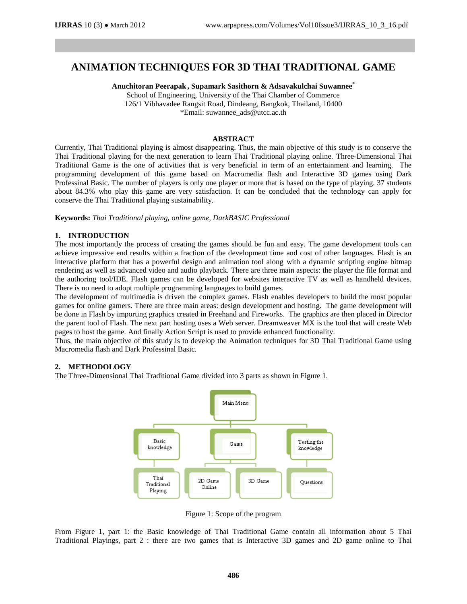# **ANIMATION TECHNIQUES FOR 3D THAI TRADITIONAL GAME**

**Anuchitoran Peerapak , Supamark Sasithorn & Adsavakulchai Suwannee \***

School of Engineering, University of the Thai Chamber of Commerce 126/1 Vibhavadee Rangsit Road, Dindeang, Bangkok, Thailand, 10400 \*Email: suwannee\_ads@utcc.ac.th

## **ABSTRACT**

Currently, Thai Traditional playing is almost disappearing. Thus, the main objective of this study is to conserve the Thai Traditional playing for the next generation to learn Thai Traditional playing online. Three-Dimensional Thai Traditional Game is the one of activities that is very beneficial in term of an entertainment and learning. The programming development of this game based on Macromedia flash and Interactive 3D games using Dark Professinal Basic. The number of players is only one player or more that is based on the type of playing. 37 students about 84.3% who play this game are very satisfaction. It can be concluded that the technology can apply for conserve the Thai Traditional playing sustainability.

**Keywords:** *Thai Traditional playing, online game, DarkBASIC Professional*

## **1. INTRODUCTION**

The most importantly the process of creating the games should be fun and easy. The game development tools can achieve impressive end results within a fraction of the development time and cost of other languages. Flash is an interactive platform that has a powerful design and animation tool along with a dynamic scripting engine bitmap rendering as well as advanced video and audio playback. There are three main aspects: the player the file format and the authoring tool/IDE. Flash games can be developed for websites interactive TV as well as handheld devices. There is no need to adopt multiple programming languages to build games.

The development of multimedia is driven the complex games. Flash enables developers to build the most popular games for online gamers. There are three main areas: design development and hosting. The game development will be done in Flash by importing graphics created in Freehand and Fireworks. The graphics are then placed in Director the parent tool of Flash. The next part hosting uses a Web server. Dreamweaver MX is the tool that will create Web pages to host the game. And finally Action Script is used to provide enhanced functionality.

Thus, the main objective of this study is to develop the Animation techniques for 3D Thai Traditional Game using Macromedia flash and Dark Professinal Basic.

#### **2. METHODOLOGY**

The Three-Dimensional Thai Traditional Game divided into 3 parts as shown in Figure 1.



Figure 1: Scope of the program

From Figure 1, part 1: the Basic knowledge of Thai Traditional Game contain all information about 5 Thai Traditional Playings, part 2 : there are two games that is Interactive 3D games and 2D game online to Thai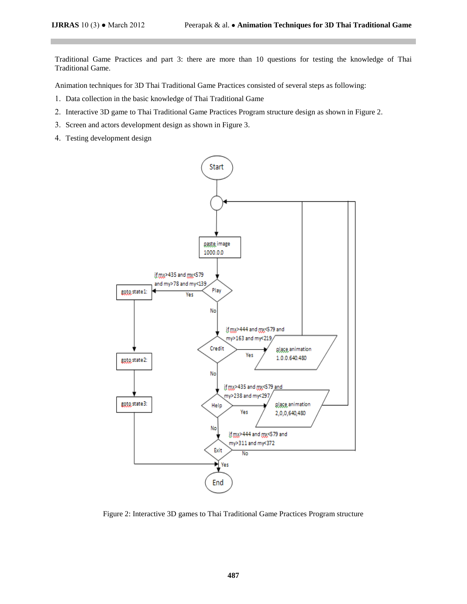Traditional Game Practices and part 3: there are more than 10 questions for testing the knowledge of Thai Traditional Game.

Animation techniques for 3D Thai Traditional Game Practices consisted of several steps as following:

- 1. Data collection in the basic knowledge of Thai Traditional Game
- 2. Interactive 3D game to Thai Traditional Game Practices Program structure design as shown in Figure 2.
- 3. Screen and actors development design as shown in Figure 3.
- 4. Testing development design



Figure 2: Interactive 3D games to Thai Traditional Game Practices Program structure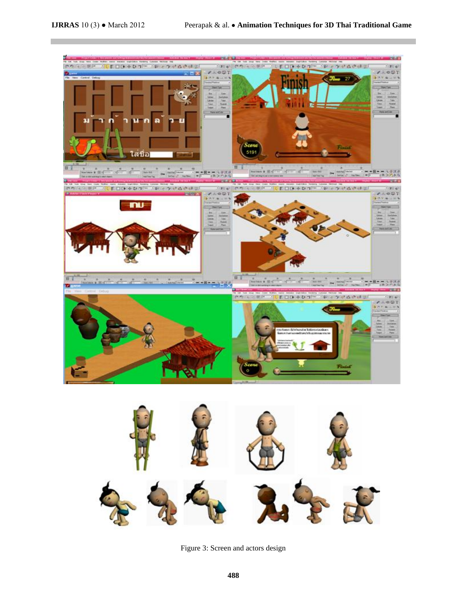F





Figure 3: Screen and actors design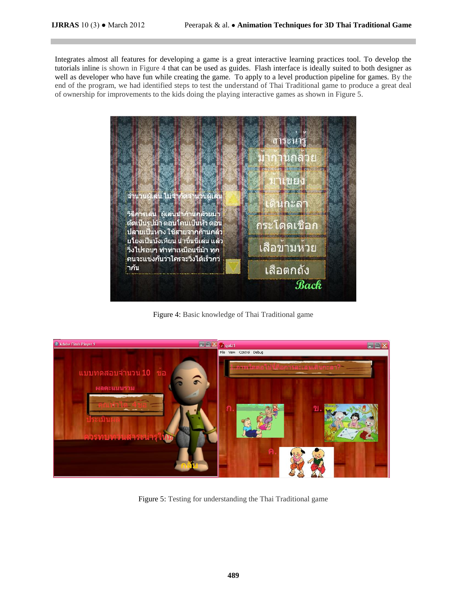Integrates almost all features for developing a game is a great interactive learning practices tool. To develop the tutorials inline is shown in Figure 4 that can be used as guides. Flash interface is ideally suited to both designer as well as developer who have fun while creating the game. To apply to a level production pipeline for games. By the end of the program, we had identified steps to test the understand of Thai Traditional game to produce a great deal of ownership for improvements to the kids doing the playing interactive games as shown in Figure 5.



Figure 4: Basic knowledge of Thai Traditional game



Figure 5: Testing for understanding the Thai Traditional game